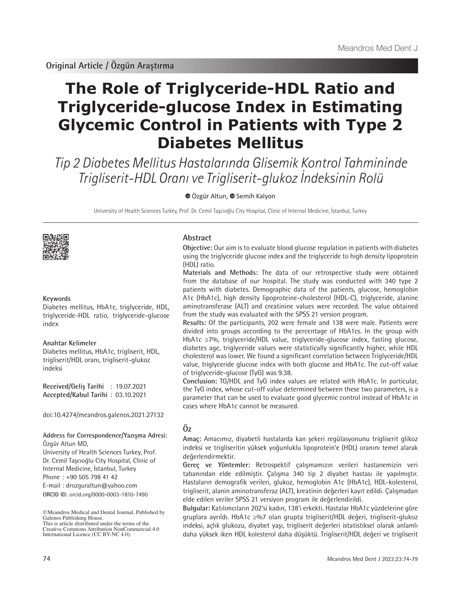# **The Role of Triglyceride-HDL Ratio and Triglyceride-glucose Index in Estimating Glycemic Control in Patients with Type 2 Diabetes Mellitus**

Tip 2 Diabetes Mellitus Hastalarında Glisemik Kontrol Tahmininde Trigliserit-HDL Oranı ve Trigliserit-glukoz İndeksinin Rolü

 $\odot$ Özgür Altun,  $\odot$  Semih Kalyon

University of Health Sciences Turkey, Prof. Dr. Cemil Taşcıoğlu City Hospital, Clinic of Internal Medicine, İstanbul, Turkey



#### **Keywords**

Diabetes mellitus, HbA1c, triglyceride, HDL, triglyceride-HDL ratio, triglyceride-glucose index

#### **Anahtar Kelimeler**

Diabetes mellitus, HbA1c, trigliserit, HDL, trigliserit/HDL oranı, trigliserit-glukoz indeksi

**Received/Geliş Tarihi** : 19.07.2021 **Accepted/Kabul Tarihi** : 03.10.2021

doi:10.4274/meandros.galenos.2021.27132

#### **Address for Correspondence/Yazışma Adresi:** Özgür Altun MD,

**ORCID ID:** orcid.org/0000-0003-1810-7490 University of Health Sciences Turkey, Prof. Dr. Cemil Taşcıoğlu City Hospital, Clinic of Internal Medicine, İstanbul, Turkey Phone : +90 505 798 41 42 E-mail : drozguraltun@yahoo.com

©Meandros Medical and Dental Journal, Published by Galenos Publishing House. This is article distributed under the terms of the

## **Abstract**

**Objective:** Our aim is to evaluate blood glucose regulation in patients with diabetes using the triglyceride glucose index and the triglyceride to high density lipoprotein (HDL) ratio.

**Materials and Methods:** The data of our retrospective study were obtained from the database of our hospital. The study was conducted with 340 type 2 patients with diabetes. Demographic data of the patients, glucose, hemoglobin A1c (HbA1c), high density lipoproteine-cholesterol (HDL-C), triglyceride, alanine aminotransferase (ALT) and creatinine values were recorded. The value obtained from the study was evaluated with the SPSS 21 version program.

**Results:** Of the participants, 202 were female and 138 were male. Patients were divided into groups according to the percentage of HbA1cs. In the group with HbA1c ≥7%, triglyceride/HDL value, triglyceride-glucose index, fasting glucose, diabetes age, triglyceride values were statistically significantly higher, while HDL cholesterol was lower. We found a significant correlation between Triglyceride/HDL value, triglyceride glucose index with both glucose and HbA1c. The cut-off value of triglyceride-glucose (TyG) was 9.38.

**Conclusion:** TG/HDL and TyG index values are related with HbA1c. In particular, the TyG index, whose cut-off value determined between these two parameters, is a parameter that can be used to evaluate good glycemic control instead of HbA1c in cases where HbA1c cannot be measured.

# **Öz**

**Amaç:** Amacımız, diyabetli hastalarda kan şekeri regülasyonunu trigliserit glikoz indeksi ve trigliseritin yüksek yoğunluklu lipoprotein'e (HDL) oranını temel alarak değerlendirmektir.

**Gereç ve Yöntemler:** Retrospektif çalışmamızın verileri hastanemizin veri tabanından elde edilmiştir. Çalışma 340 tip 2 diyabet hastası ile yapılmıştır. Hastaların demografik verileri, glukoz, hemoglobin A1c (HbA1c), HDL-kolesterol, trigliserit, alanin aminotransferaz (ALT), kreatinin değerleri kayıt edildi. Çalışmadan elde edilen veriler SPSS 21 versiyon program ile değerlendirildi.

**Bulgular:** Katılımcıların 202'si kadın, 138'i erkekti. Hastalar HbA1c yüzdelerine göre gruplara ayrıldı. HbA1c ≥%7 olan grupta trigliserit/HDL değeri, trigliserit-glukoz indeksi, açlık glukozu, diyabet yaşı, trigliserit değerleri istatistiksel olarak anlamlı daha yüksek iken HDL kolesterol daha düşüktü. Trigliserit/HDL değeri ve trigliserit

Creative Commons Attribution NonCommercial 4.0 International Licence (CC BY-NC 4.0).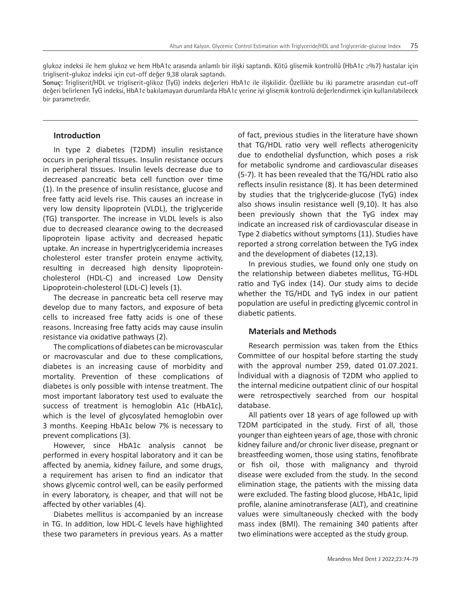glukoz indeksi ile hem glukoz ve hem HbA1c arasında anlamlı bir ilişki saptandı. Kötü glisemik kontrollü (HbA1c ≥%7) hastalar için trigliserit-glukoz indeksi için cut-off değer 9,38 olarak saptandı.

**Sonuç:** Trigliserit/HDL ve trigliserit-glikoz (TyG) indeks değerleri HbA1c ile ilişkilidir. Özellikle bu iki parametre arasından cut-off değeri belirlenen TyG indeksi, HbA1c bakılamayan durumlarda HbA1c yerine iyi glisemik kontrolü değerlendirmek için kullanılabilecek bir parametredir.

## **Introduction**

In type 2 diabetes (T2DM) insulin resistance occurs in peripheral tissues. Insulin resistance occurs in peripheral tissues. Insulin levels decrease due to decreased pancreatic beta cell function over time (1). In the presence of insulin resistance, glucose and free fatty acid levels rise. This causes an increase in very low density lipoprotein (VLDL), the triglyceride (TG) transporter. The increase in VLDL levels is also due to decreased clearance owing to the decreased lipoprotein lipase activity and decreased hepatic uptake. An increase in hypertriglyceridemia increases cholesterol ester transfer protein enzyme activity, resulting in decreased high density lipoproteincholesterol (HDL-C) and increased Low Density Lipoprotein-cholesterol (LDL-C) levels (1).

The decrease in pancreatic beta cell reserve may develop due to many factors, and exposure of beta cells to increased free fatty acids is one of these reasons. Increasing free fatty acids may cause insulin resistance via oxidative pathways (2).

The complications of diabetes can be microvascular or macrovascular and due to these complications, diabetes is an increasing cause of morbidity and mortality. Prevention of these complications of diabetes is only possible with intense treatment. The most important laboratory test used to evaluate the success of treatment is hemoglobin A1c (HbA1c), which is the level of glycosylated hemoglobin over 3 months. Keeping HbA1c below 7% is necessary to prevent complications (3).

However, since HbA1c analysis cannot be performed in every hospital laboratory and it can be affected by anemia, kidney failure, and some drugs, a requirement has arisen to find an indicator that shows glycemic control well, can be easily performed in every laboratory, is cheaper, and that will not be affected by other variables (4).

Diabetes mellitus is accompanied by an increase in TG. In addition, low HDL-C levels have highlighted these two parameters in previous years. As a matter of fact, previous studies in the literature have shown that TG/HDL ratio very well reflects atherogenicity due to endothelial dysfunction, which poses a risk for metabolic syndrome and cardiovascular diseases (5-7). It has been revealed that the TG/HDL ratio also reflects insulin resistance (8). It has been determined by studies that the triglyceride-glucose (TyG) index also shows insulin resistance well (9,10). It has also been previously shown that the TyG index may indicate an increased risk of cardiovascular disease in Type 2 diabetics without symptoms (11). Studies have reported a strong correlation between the TyG index and the development of diabetes (12,13).

In previous studies, we found only one study on the relationship between diabetes mellitus, TG-HDL ratio and TyG index (14). Our study aims to decide whether the TG/HDL and TyG index in our patient population are useful in predicting glycemic control in diabetic patients.

## **Materials and Methods**

Research permission was taken from the Ethics Committee of our hospital before starting the study with the approval number 259, dated 01.07.2021. İndividual with a diagnosis of T2DM who applied to the internal medicine outpatient clinic of our hospital were retrospectively searched from our hospital database.

All patients over 18 years of age followed up with T2DM participated in the study. First of all, those younger than eighteen years of age, those with chronic kidney failure and/or chronic liver disease, pregnant or breastfeeding women, those using statins, fenofibrate or fish oil, those with malignancy and thyroid disease were excluded from the study. In the second elimination stage, the patients with the missing data were excluded. The fasting blood glucose, HbA1c, lipid profile, alanine aminotransferase (ALT), and creatinine values were simultaneously checked with the body mass index (BMI). The remaining 340 patients after two eliminations were accepted as the study group.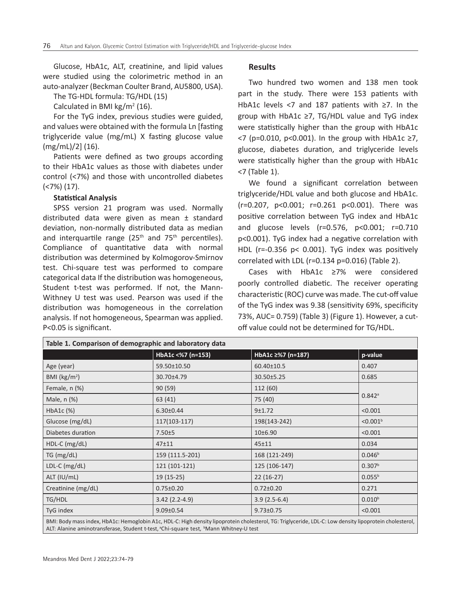Glucose, HbA1c, ALT, creatinine, and lipid values were studied using the colorimetric method in an auto-analyzer (Beckman Coulter Brand, AU5800, USA).

The TG-HDL formula: TG/HDL (15)

Calculated in BMI kg/ $m^2$  (16).

For the TyG index, previous studies were guided, and values were obtained with the formula Ln [fasting triglyceride value (mg/mL) X fasting glucose value (mg/mL)/2] (16).

Patients were defined as two groups according to their HbA1c values as those with diabetes under control (<7%) and those with uncontrolled diabetes (<7%) (17).

#### **Statistical Analysis**

SPSS version 21 program was used. Normally distributed data were given as mean ± standard deviation, non-normally distributed data as median and interquartile range  $(25<sup>th</sup>$  and  $75<sup>th</sup>$  percentiles). Compliance of quantitative data with normal distribution was determined by Kolmogorov-Smirnov test. Chi-square test was performed to compare categorical data If the distribution was homogeneous, Student t-test was performed. If not, the Mann-Withney U test was used. Pearson was used if the distribution was homogeneous in the correlation analysis. If not homogeneous, Spearman was applied. P<0.05 is significant.

#### **Results**

Two hundred two women and 138 men took part in the study. There were 153 patients with HbA1c levels <7 and 187 patients with ≥7. In the group with HbA1c ≥7, TG/HDL value and TyG index were statistically higher than the group with HbA1c <7 (p=0.010, p<0.001). In the group with HbA1c ≥7, glucose, diabetes duration, and triglyceride levels were statistically higher than the group with HbA1c <7 (Table 1).

We found a significant correlation between triglyceride/HDL value and both glucose and HbA1c. (r=0.207, p<0.001; r=0.261 p<0.001). There was positive correlation between TyG index and HbA1c and glucose levels (r=0.576, p<0.001; r=0.710 p<0.001). TyG index had a negative correlation with HDL (r=-0.356 p< 0.001). TyG index was positively correlated with LDL (r=0.134 p=0.016) (Table 2).

Cases with HbA1c ≥7% were considered poorly controlled diabetic. The receiver operating characteristic (ROC) curve was made. The cut-off value of the TyG index was 9.38 (sensitivity 69%, specificity 73%, AUC= 0.759) (Table 3) (Figure 1). However, a cutoff value could not be determined for TG/HDL.

| Table 1. Comparison of demographic and laboratory data                                                                                                  |                   |                   |                      |  |  |  |
|---------------------------------------------------------------------------------------------------------------------------------------------------------|-------------------|-------------------|----------------------|--|--|--|
|                                                                                                                                                         | HbA1c <%7 (n=153) | HbA1c ≥%7 (n=187) | p-value              |  |  |  |
| Age (year)                                                                                                                                              | 59.50±10.50       | 60.40±10.5        | 0.407                |  |  |  |
| BMI ( $\text{kg/m}^2$ )                                                                                                                                 | 30.70±4.79        | 30.50±5.25        | 0.685                |  |  |  |
| Female, n (%)                                                                                                                                           | 90(59)            | 112 (60)          | $0.842$ <sup>a</sup> |  |  |  |
| Male, n (%)                                                                                                                                             | 63 (41)           | 75 (40)           |                      |  |  |  |
| $HbA1c$ $(\%)$                                                                                                                                          | $6.30 \pm 0.44$   | $9 + 1.72$        | < 0.001              |  |  |  |
| Glucose (mg/dL)                                                                                                                                         | 117(103-117)      | 198(143-242)      | < 0.001 <sup>b</sup> |  |  |  |
| Diabetes duration                                                                                                                                       | $7.50 + 5$        | 10±6.90           | < 0.001              |  |  |  |
| HDL-C (mg/dL)                                                                                                                                           | $47 + 11$         | 45±11             | 0.034                |  |  |  |
| TG (mg/dL)                                                                                                                                              | 159 (111.5-201)   | 168 (121-249)     | 0.046 <sup>b</sup>   |  |  |  |
| $LDL-C (mg/dL)$                                                                                                                                         | 121 (101-121)     | 125 (106-147)     | 0.307 <sup>b</sup>   |  |  |  |
| ALT (IU/mL)                                                                                                                                             | $19(15-25)$       | $22(16-27)$       | $0.055^{b}$          |  |  |  |
| Creatinine (mg/dL)                                                                                                                                      | $0.75 \pm 0.20$   | $0.72 \pm 0.20$   | 0.271                |  |  |  |
| TG/HDL                                                                                                                                                  | $3.42(2.2-4.9)$   | $3.9(2.5-6.4)$    | $0.010^{b}$          |  |  |  |
| TyG index                                                                                                                                               | $9.09 \pm 0.54$   | $9.73 \pm 0.75$   | < 0.001              |  |  |  |
| BMI: Body mass index, HbA1c: Hemoglobin A1c, HDL-C: High density lipoprotein cholesterol, TG: Triglyceride, LDL-C: Low density lipoprotein cholesterol, |                   |                   |                      |  |  |  |

ALT: Alanine aminotransferase, Student t-test, <sup>a</sup>Chi-square test, <sup>b</sup>Mann Whitney-U test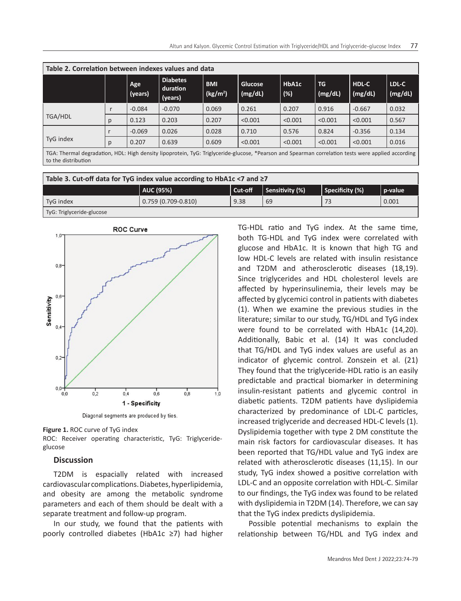| Table 2. Correlation between indexes values and data                                                                                                                      |   |                |                                        |                                    |                           |                 |                      |                  |                  |
|---------------------------------------------------------------------------------------------------------------------------------------------------------------------------|---|----------------|----------------------------------------|------------------------------------|---------------------------|-----------------|----------------------|------------------|------------------|
|                                                                                                                                                                           |   | Age<br>(years) | <b>Diabetes</b><br>duration<br>(years) | <b>BMI</b><br>(kg/m <sup>2</sup> ) | <b>Glucose</b><br>(mg/dL) | HbA1c<br>$(\%)$ | <b>TG</b><br>(mg/dL) | HDL-C<br>(mg/dL) | LDL-C<br>(mg/dL) |
| TGA/HDL                                                                                                                                                                   |   | $-0.084$       | $-0.070$                               | 0.069                              | 0.261                     | 0.207           | 0.916                | $-0.667$         | 0.032            |
|                                                                                                                                                                           | p | 0.123          | 0.203                                  | 0.207                              | < 0.001                   | < 0.001         | < 0.001              | < 0.001          | 0.567            |
| TyG index                                                                                                                                                                 |   | $-0.069$       | 0.026                                  | 0.028                              | 0.710                     | 0.576           | 0.824                | $-0.356$         | 0.134            |
|                                                                                                                                                                           | p | 0.207          | 0.639                                  | 0.609                              | < 0.001                   | < 0.001         | < 0.001              | < 0.001          | 0.016            |
| TGA: Thermal degradation, HDL: High density lipoprotein, TyG: Triglyceride-glucose, *Pearson and Spearman correlation tests were applied according<br>to the distribution |   |                |                                        |                                    |                           |                 |                      |                  |                  |

| Table 3. Cut-off data for TyG index value according to HbA1c <7 and $\geq$ 7 |                        |         |                 |                 |         |  |  |
|------------------------------------------------------------------------------|------------------------|---------|-----------------|-----------------|---------|--|--|
|                                                                              | AUC (95%)              | Cut-off | Sensitivity (%) | Specificity (%) | p-value |  |  |
| TyG index                                                                    | $0.759(0.709 - 0.810)$ | 9.38    | 69              |                 | 0.001   |  |  |
| TyG: Triglyceride-glucose                                                    |                        |         |                 |                 |         |  |  |



Diagonal segments are produced by ties.

**Figure 1.** ROC curve of TyG index

ROC: Receiver operating characteristic, TyG: Triglycerideglucose

#### **Discussion**

T2DM is espacially related with increased cardiovascular complications. Diabetes, hyperlipidemia, and obesity are among the metabolic syndrome parameters and each of them should be dealt with a separate treatment and follow-up program.

In our study, we found that the patients with poorly controlled diabetes (HbA1c ≥7) had higher TG-HDL ratio and TyG index. At the same time, both TG-HDL and TyG index were correlated with glucose and HbA1c. It is known that high TG and low HDL-C levels are related with insulin resistance and T2DM and atherosclerotic diseases (18,19). Since triglycerides and HDL cholesterol levels are affected by hyperinsulinemia, their levels may be affected by glycemici control in patients with diabetes (1). When we examine the previous studies in the literature; similar to our study, TG/HDL and TyG index were found to be correlated with HbA1c (14,20). Additionally, Babic et al. (14) It was concluded that TG/HDL and TyG index values are useful as an indicator of glycemic control. Zonszein et al. (21) They found that the triglyceride-HDL ratio is an easily predictable and practical biomarker in determining insulin-resistant patients and glycemic control in diabetic patients. T2DM patients have dyslipidemia characterized by predominance of LDL-C particles, increased triglyceride and decreased HDL-C levels (1). Dyslipidemia together with type 2 DM constitute the main risk factors for cardiovascular diseases. It has been reported that TG/HDL value and TyG index are related with atherosclerotic diseases (11,15). In our study, TyG index showed a positive correlation with LDL-C and an opposite correlation with HDL-C. Similar to our findings, the TyG index was found to be related with dyslipidemia in T2DM (14). Therefore, we can say that the TyG index predicts dyslipidemia.

Possible potential mechanisms to explain the relationship between TG/HDL and TyG index and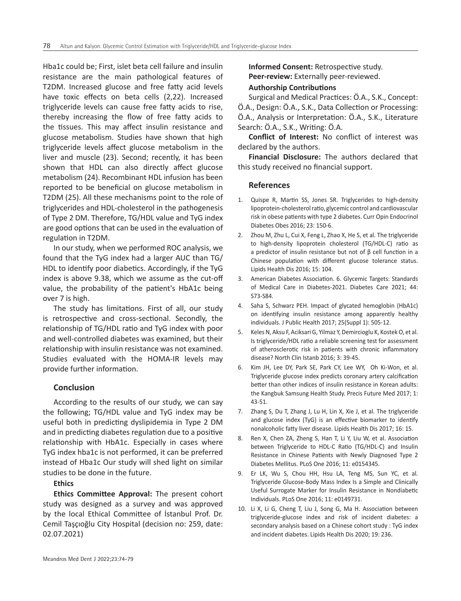Hba1c could be; First, islet beta cell failure and insulin resistance are the main pathological features of T2DM. Increased glucose and free fatty acid levels have toxic effects on beta cells (2,22). Increased triglyceride levels can cause free fatty acids to rise, thereby increasing the flow of free fatty acids to the tissues. This may affect insulin resistance and glucose metabolism. Studies have shown that high triglyceride levels affect glucose metabolism in the liver and muscle (23). Second; recently, it has been shown that HDL can also directly affect glucose metabolism (24). Recombinant HDL infusion has been reported to be beneficial on glucose metabolism in T2DM (25). All these mechanisms point to the role of triglycerides and HDL-cholesterol in the pathogenesis of Type 2 DM. Therefore, TG/HDL value and TyG index are good options that can be used in the evaluation of regulation in T2DM.

In our study, when we performed ROC analysis, we found that the TyG index had a larger AUC than TG/ HDL to identify poor diabetics. Accordingly, if the TyG index is above 9.38, which we assume as the cut-off value, the probability of the patient's HbA1c being over 7 is high.

The study has limitations. First of all, our study is retrospective and cross-sectional. Secondly, the relationship of TG/HDL ratio and TyG index with poor and well-controlled diabetes was examined, but their relationship with insulin resistance was not examined. Studies evaluated with the HOMA-IR levels may provide further information.

# **Conclusion**

According to the results of our study, we can say the following; TG/HDL value and TyG index may be useful both in predicting dyslipidemia in Type 2 DM and in predicting diabetes regulation due to a positive relationship with HbA1c. Especially in cases where TyG index hba1c is not performed, it can be preferred instead of Hba1c Our study will shed light on similar studies to be done in the future.

## **Ethics**

**Ethics Committee Approval:** The present cohort study was designed as a survey and was approved by the local Ethical Committee of İstanbul Prof. Dr. Cemil Taşçıoğlu City Hospital (decision no: 259, date: 02.07.2021)

**Informed Consent:** Retrospective study. **Peer-review:** Externally peer-reviewed.

## **Authorship Contributions**

Surgical and Medical Practices: Ö.A., S.K., Concept: Ö.A., Design: Ö.A., S.K., Data Collection or Processing: Ö.A., Analysis or Interpretation: Ö.A., S.K., Literature Search: Ö.A., S.K., Writing: Ö.A.

**Conflict of Interest:** No conflict of interest was declared by the authors.

**Financial Disclosure:** The authors declared that this study received no financial support.

## **References**

- 1. Quispe R, Martin SS, Jones SR. Triglycerides to high-density lipoprotein-cholesterol ratio, glycemic control and cardiovascular risk in obese patients with type 2 diabetes. Curr Opin Endocrinol Diabetes Obes 2016; 23: 150-6.
- 2. Zhou M, Zhu L, Cui X, Feng L, Zhao X, He S, et al. The triglyceride to high-density lipoprotein cholesterol (TG/HDL-C) ratio as a predictor of insulin resistance but not of β cell function in a Chinese population with different glucose tolerance status. Lipids Health Dis 2016; 15: 104.
- 3. American Diabetes Association. 6. Glycemic Targets: Standards of Medical Care in Diabetes-2021. Diabetes Care 2021; 44: S73-S84.
- 4. Saha S, Schwarz PEH. Impact of glycated hemoglobin (HbA1c) on identifying insulin resistance among apparently healthy individuals. J Public Health 2017; 25(Suppl 1): 505-12.
- 5. Keles N, Aksu F, Aciksari G, Yilmaz Y, Demircioglu K, Kostek O, et al. Is triglyceride/HDL ratio a reliable screening test for assessment of atherosclerotic risk in patients with chronic inflammatory disease? North Clin Istanb 2016; 3: 39-45.
- 6. Kim JH, Lee DY, Park SE, Park CY, Lee WY, Oh Ki-Won, et al. Triglyceride glucose index predicts coronary artery calcification better than other indices of insulin resistance in Korean adults: the Kangbuk Samsung Health Study. Precis Future Med 2017; 1: 43-51.
- 7. Zhang S, Du T, Zhang J, Lu H, Lin X, Xie J, et al. The triglyceride and glucose index (TyG) is an effective biomarker to identify nonalcoholic fatty liver disease. Lipids Health Dis 2017; 16: 15.
- 8. Ren X, Chen ZA, Zheng S, Han T, Li Y, Liu W, et al. Association between Triglyceride to HDL-C Ratio (TG/HDL-C) and Insulin Resistance in Chinese Patients with Newly Diagnosed Type 2 Diabetes Mellitus. PLoS One 2016; 11: e0154345.
- 9. Er LK, Wu S, Chou HH, Hsu LA, Teng MS, Sun YC, et al. Triglyceride Glucose-Body Mass Index Is a Simple and Clinically Useful Surrogate Marker for Insulin Resistance in Nondiabetic Individuals. PLoS One 2016; 11: e0149731.
- 10. Li X, Li G, Cheng T, Liu J, Song G, Ma H. Association between triglyceride-glucose index and risk of incident diabetes: a secondary analysis based on a Chinese cohort study : TyG index and incident diabetes. Lipids Health Dis 2020; 19: 236.